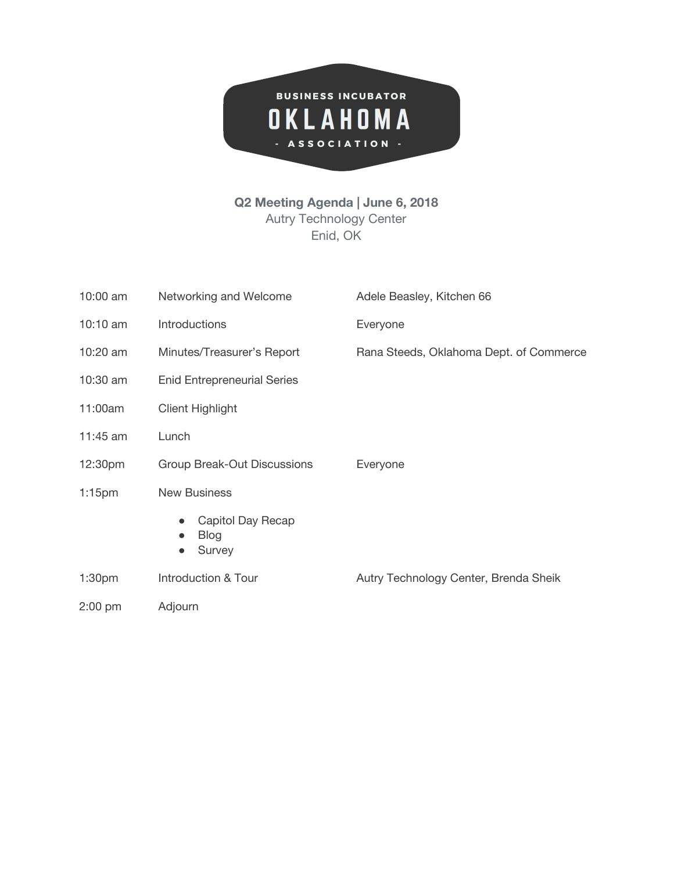

## **Q2 Meeting Agenda | June 6, 2018** Autry Technology Center Enid, OK

| 10:00 am           | Networking and Welcome                                               | Adele Beasley, Kitchen 66               |
|--------------------|----------------------------------------------------------------------|-----------------------------------------|
| 10:10 am           | Introductions                                                        | Everyone                                |
| 10:20 am           | Minutes/Treasurer's Report                                           | Rana Steeds, Oklahoma Dept. of Commerce |
| 10:30 am           | <b>Enid Entrepreneurial Series</b>                                   |                                         |
| 11:00am            | <b>Client Highlight</b>                                              |                                         |
| 11:45 am           | Lunch                                                                |                                         |
| 12:30pm            | Group Break-Out Discussions                                          | Everyone                                |
| $1:15$ pm          | <b>New Business</b>                                                  |                                         |
|                    | Capitol Day Recap<br><b>Blog</b><br>$\bullet$<br>Survey<br>$\bullet$ |                                         |
| 1:30 <sub>pm</sub> | Introduction & Tour                                                  | Autry Technology Center, Brenda Sheik   |
| $2:00$ pm          | Adjourn                                                              |                                         |